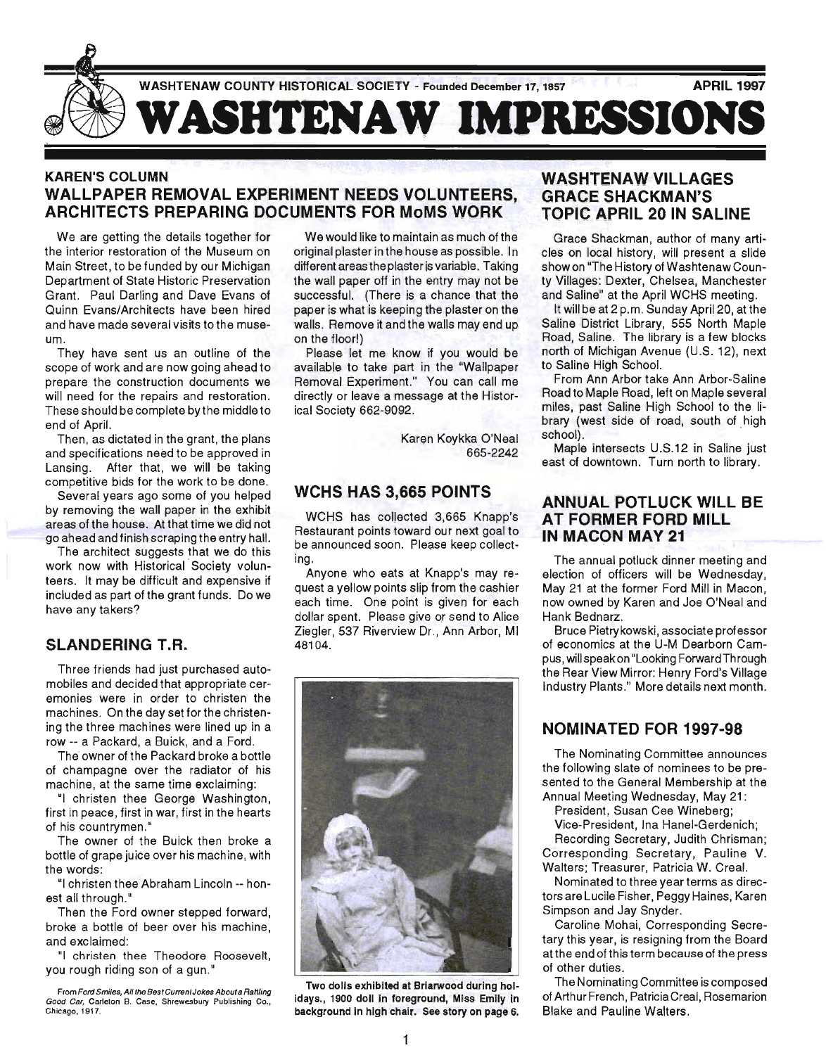

#### KAREN'S COLUMN WALLPAPER REMOVAL EXPERIMENT NEEDS VOLUNTEERS, ARCHITECTS PREPARING DOCUMENTS FOR MoMS WORK

We are getting the details together for the interior restoration of the Museum on Main Street, to be funded by our Michigan Department of State Historic Preservation Grant. Paul Darling and Dave Evans of Quinn Evans/Architects have been hired and have made several visits to the museum.

They have sent us an outline of the scope of work and are now going ahead to prepare the construction documents we will need for the repairs and restoration. These should be complete by the middle to end of April.

Then, as dictated in the grant, the plans and specifications need to be approved in Lansing. After that, we will be taking competitive bids for the work to be done.

Several years ago some of you helped by removing the wall paper in the exhibit areas of the house. At that time we did not go ahead and finish scraping the entry hall.

The architect suggests that we do this work now with Historical Society volunteers. It may be difficult and expensive if included as part of the grant funds. Do we have any takers?

#### SLANDERING T.R.

Three friends had just purchased automobiles and decided that appropriate ceremonies were in order to christen the machines. On the day set for the christening the three machines were lined up in a row -- a Packard, a Buick, and a Ford.

The owner of the Packard broke a bottle of champagne over the radiator of his machine, at the same time exclaiming:

"I christen thee George Washington, first in peace, first in war, first in the hearts of his countrymen."

The owner of the Buick then broke a bottle of grape juice over his machine, with the words :

"I ch risten thee Abraham Lincoln -- honest all through."

Then the Ford owner stepped forward, broke a bottle of beer over his machine, and exclaimed:

"I christen thee Theodore Roosevelt, you rough riding son of a gun."

We would like to maintain as much of the original plaster in the house as possible. In different areas the plaster is variable. Taking the wall paper off in the entry may not be successful. (There is a chance that the paper is what is keeping the plaster on the walls. Remove it and the walls may end up on the floor!)

Please let me know if you would be available to take part in the "Wallpaper Removal Experiment." You can call me directly or leave a message at the Historical Society 662-9092.

> Karen Koykka O'Neal 665-2242

#### WCHS HAS 3,665 POINTS

WCHS has collected 3,665 Knapp's Restaurant points toward our next goal to be announced soon. Please keep collecting.

Anyone who eats at Knapp's may request a yellow points slip from the cashier each time. One point is given for each dollar spent. Please give or send to Alice Ziegler, 537 Riverview Dr., Ann Arbor, MI 48104.



Two dolls exhibited at Briarwood during holidays., 1900 doll in foreground, Miss Emily in background in high chair. See story on page 6.

#### WASHTENAW VILLAGES GRACE SHACKMAN'S TOPIC APRIL 20 IN SALINE

Grace Shackman, author of many articles on local history, will present a slide show on "The History of Washtenaw County Villages: Dexter, Chelsea, Manchester and Saline" at the April WCHS meeting.

It will be at 2 p.m. Sunday April 20, at the Saline District Library, 555 North Maple Road, Saline. The library is a few blocks north of Michigan Avenue (U.S. 12), next to Saline High School.

From Ann Arbor take Ann Arbor-Saline Road to Maple Road, left on Maple several miles, past Saline High School to the library (west side of road, south of high  $school$ Maple intersects U.S.12 in Saline just

east of downtown. Turn north to library.

#### ANNUAL POTLUCK WILL BE AT FORMER FORD MILL IN MACON MAY 21

The annual potluck dinner meeting and election of officers will be Wednesday, May 21 at the former Ford Mill in Macon, now owned by Karen and Joe O'Neal and Hank Bednarz.

Bruce Pietrykowski, associate professor of economics at the U-M Dearborn Campus, willspeakon "Looking Forward Through the Rear View Mirror: Henry Ford's Village Industry Plants." More details next month.

#### NOMINATED FOR 1997-98

The Nominating Committee announces the following slate of nominees to be presented to the General Membership at the Annual Meeting Wednesday, May 21:

President, Susan Cee Wineberg;

Vice-President, Ina Hanel-Gerdenich; Recording Secretary, Judith Chrisman;

Corresponding Secretary, Pauline V. Walters; Treasurer, Patricia W. Creal.

Nominated to three year terms as directors are Lucile Fisher, Peggy Haines, Karen Simpson and Jay Snyder.

Caroline Mohai, Corresponding Secretary this year, is resigning from the Board at the end of this term because of the press of other duties.

The Nominating Committee is composed of Arthur French, Patricia Creal, Rosemarion Blake and Pauline Walters.

From Ford Smiles, All the Best Current Jokes About a Rattling Good Car, Carleton 8. Case, Shrewesbury Publishing Co., Chicago, 1917.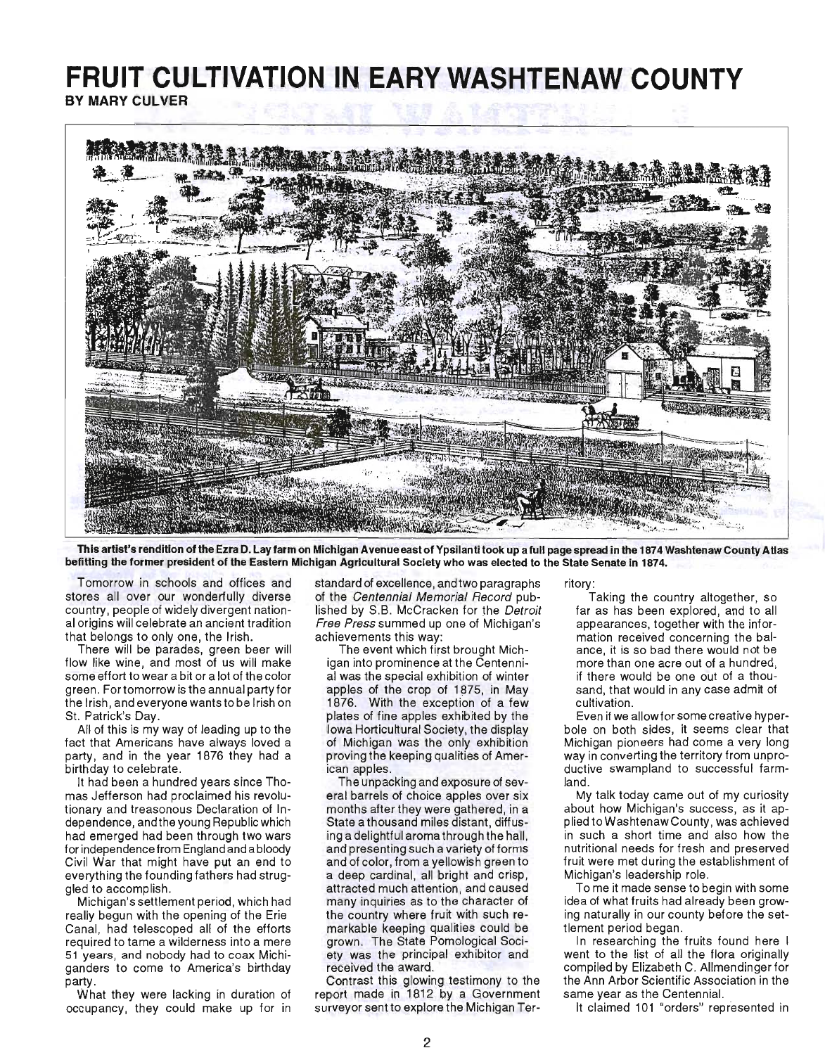# **FRUIT CULTIVATION IN EARY WASHTENAW COUNTY**

**BY MARY CULVER** 



This artist's rendition of the Ezra D. Lay farm on Michigan Avenue east of Ypsilanti took up a full page spread in the 1874 Washtenaw County Atlas befitting the former president of the Eastern Michigan Agricultural Society who was elected to the State Senate in 1874.

Tomorrow in schools and offices and stores all over our wonderfully diverse country, people of widely divergent national origins will celebrate an ancient tradition that belongs to only one, the Irish.

There will be parades, green beer will flow like wine, and most of us will make some effort to wear a bit or a lot of the color green. For tomorrow is the annual party for the Irish, and everyone wants to be Irish on St. Patrick's Day.

All of this is my way of leading up to the fact that Americans have always loved a party, and in the year 1876 they had a birthday to celebrate.

It had been a hundred years since Thomas Jefferson had proclaimed his revolutionary and treasonous Declaration of Independence, and the young Republic which had emerged had been through two wars for independence from England and a bloody Civil War that might have put an end to everything the founding fathers had struggled to accomplish.

Michigan's settlement period, which had really begun with the opening of the Erie Canal, had telescoped all of the efforts required to tame a wilderness into a mere 51 years, and nobody had to coax Michiganders to come to America's birthday party.

What they were lacking in duration of occupancy, they could make up for in standard of excellence, and two paragraphs of the Centennial Memorial Record published by S.B. McCracken for the Detroit Free Press summed up one of Michigan's achievements this way:

The event which first brought Michigan into prominence at the Centennial was the special exhibition of winter apples of the crop of 1875, in May 1876. With the exception of a few plates of fine apples exhibited by the Iowa Horticultural Society, the display of Michigan was the only exhibition proving the keeping qualities of American apples.

The unpacking and exposure of several barrels of choice apples over six months after they were gathered, in a State a thousand miles distant, diffusing a delightful aroma through the hall, and presenting such a variety of forms and of color, from a yellowish green to a deep cardinal, all bright and crisp, attracted much attention, and caused many inquiries as to the character of the country where fruit with such remarkable keeping qualities could be grown. The State Pomological Society was the principal exhibitor and received the award.

Contrast this glowing testimony to the report made in 1812 by a Government surveyor sent to explore the Michigan Territory:

Taking the country altogether, so far as has been explored, and to all appearances, together with the information received concerning the balance, it is so bad there would not be more than one acre out of a hundred, if there would be one out of a thousand, that would in any case admit of cultivation.

Even if we allowfor some creative hyperbole on both sides, it seems clear that Michigan pioneers had come a very long way in converting the territory from unproductive swampland to successful farmland.

My talk today came out of my curiosity about how Michigan's success, as it applied to Washtenaw County, was achieved in such a short time and also how the nutritional needs for fresh and preserved fruit were met during the establishment of Michigan's leadership role.

To me it made sense to begin with some idea of what fruits had already been growing naturally in our county before the settlement period began.

In researching the fruits found here I went to the list of all the flora originally compiled by Elizabeth C. Allmendinger for the Ann Arbor Scientific Association in the same year as the Centennial.

It claimed 101 "orders" represented in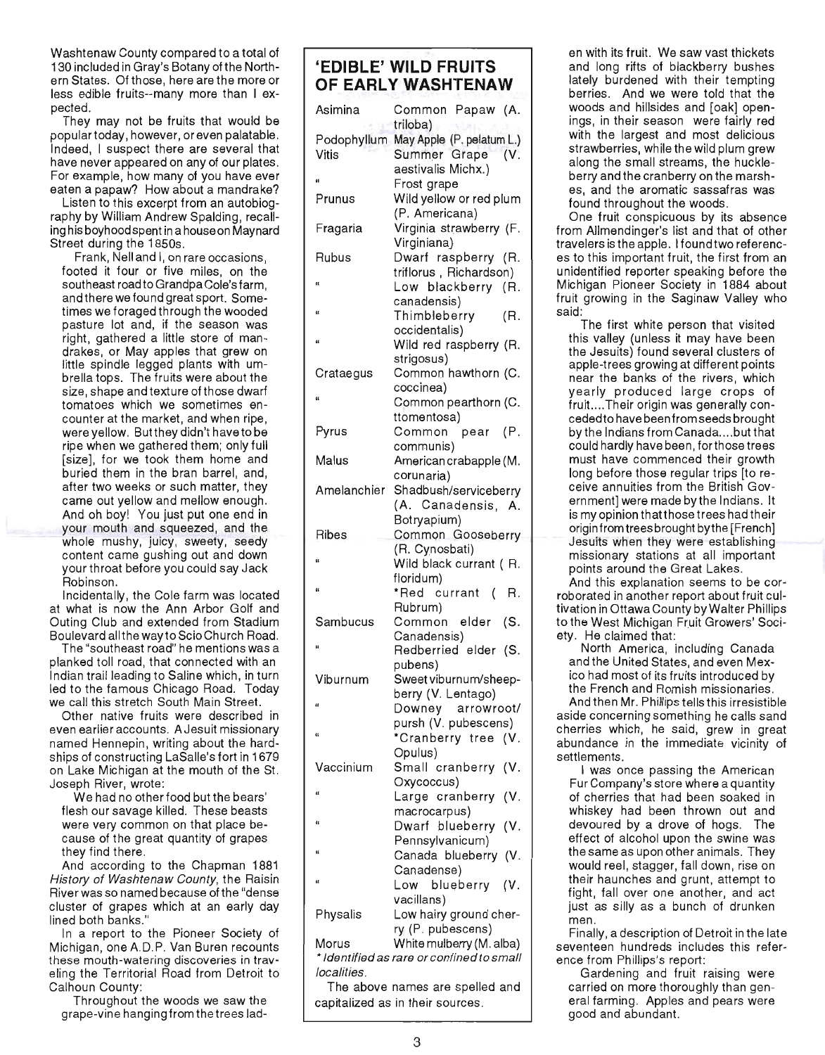Washtenaw County compared to a total of 130 included in Gray's Botany of the Northern States. Of those, here are the more or less edible fruits--many more than I expected.

They may not be fruits that would be populartoday, however, oreven palatable. Indeed, I suspect there are several that have never appeared on any of our plates. For example, how many of you have ever eaten a papaw? How about a mandrake?

Listen to this excerpt from an autobiography by William Andrew Spalding, recalling his boyhood spent in a house on Maynard Street during the 1850s.

Frank, Nell and I, on rare occasions, footed it four or five miles, on the southeast road to Grandpa Cole's farm, and there we found great sport. Sometimes we foraged through the wooded pasture lot and, if the season was right, gathered a little store of mandrakes, or Mayapples that grew on little spindle legged plants with umbrella tops. The fruits were about the size, shape and texture of those dwarf tomatoes which we sometimes encounter at the market, and when ripe, were yellow. Butthey didn't haveto be ripe when we gathered them; only full [size], for we took them home and buried them in the bran barrel, and, after two weeks or such matter, they came out yellow and mellow enough. And oh boy! You just put one end in your mouth and squeezed, and the whole mushy, juicy, sweety, seedy content came gushing out and down your throat before you could say Jack Robinson.

Incidentally, the Cole farm was located at what is now the Ann Arbor Golf and Outing Club and extended from Stadium Boulevard allthe way to ScioChurch Road.

The "southeast road" he mentions was a planked toll road, that connected with an Indian trail leading to Saline which, in turn led to the famous Chicago Road. Today we call this stretch South Main Street.

Other native fruits were described in even earlier accounts. A Jesuit missionary named Hennepin, writing about the hardships of constructing LaSalle's fort in 1679 on Lake Michigan at the mouth of the st. Joseph River, wrote:

We had no other food but the bears' flesh our savage killed. These beasts were very common on that place because of the great quantity of grapes they find there.

And according to the Chapman 1881 History of Washtenaw County, the Raisin River was so named because of the "dense cluster of grapes which at an early day lined both banks."

In a report to the Pioneer Society of Michigan, one A.D.P. Van Buren recounts these mouth-watering discoveries in traveling the Territorial Road from Detroit to Calhoun County:

Throughout the woods we saw the grape-vine hanging from the trees lad-

## **'EDIBLE' WILD FRUITS OF EARLY WASHTENAW**

| Asimina                    | Common Papaw (A.                          |
|----------------------------|-------------------------------------------|
|                            | triloba)                                  |
|                            | Podophyllum May Apple (P. pelatum L.)     |
| Vitis                      | Summer Grape<br>$(V)$ .                   |
|                            | aestivalis Michx.)                        |
| H                          |                                           |
|                            | Frost grape                               |
| Prunus                     | Wild yellow or red plum                   |
|                            | (P. Americana)                            |
| Fragaria                   | Virginia strawberry (F.                   |
|                            | Virginiana)                               |
| Rubus                      | Dwarf raspberry (R.                       |
|                            |                                           |
|                            | triflorus, Richardson)                    |
| $\mathbf{a}$               | Low blackberry (R.                        |
|                            | canadensis)                               |
| $\alpha$                   | Thimbleberry<br>(R.                       |
|                            | occidentalis)                             |
| u                          |                                           |
|                            | Wild red raspberry (R.                    |
|                            | strigosus)                                |
| Crataegus                  | Common hawthorn (C.                       |
|                            | coccinea)                                 |
| $\alpha$                   | Common pearthorn (C.                      |
|                            | ttomentosa)                               |
|                            |                                           |
| Pyrus                      | Common<br>pear<br>(P.                     |
|                            | communis)                                 |
| Malus                      | American crabapple (M.                    |
|                            | corunaria)                                |
| Amelanchier                | Shadbush/serviceberry                     |
|                            | (A. Canadensis, A.                        |
|                            |                                           |
|                            | Botryapium)                               |
| Ribes                      | Common Gooseberry                         |
|                            |                                           |
|                            |                                           |
| $\overline{a}$             | (R. Cynosbati)                            |
|                            | Wild black currant (R.                    |
| $\mathbf{G}$               | floridum)                                 |
|                            | *Red currant (<br>R.                      |
|                            | Rubrum)                                   |
| Sambucus                   | elder<br>Common<br>(S.                    |
|                            | Canadensis)                               |
| $\blacksquare$             | Redberried elder (S.                      |
|                            |                                           |
|                            | pubens)                                   |
| Viburnum                   | Sweet viburnum/sheep-                     |
|                            | berry (V. Lentago)                        |
| $\overline{\bf{u}}$        | Downey arrowroot/                         |
|                            | pursh (V. pubescens)                      |
| $\mathfrak{c}\mathfrak{c}$ | *Cranberry tree (V.                       |
|                            |                                           |
|                            | Opulus)                                   |
| Vaccinium                  | Small cranberry<br>(V.                    |
| $\alpha$                   | Oxycoccus)                                |
|                            | Large cranberry<br>(V.                    |
|                            | macrocarpus)                              |
| ł,                         | Dwarf blueberry<br>(V,                    |
|                            |                                           |
| \$                         | Pennsylvanicum)                           |
|                            | Canada blueberry<br>(V.                   |
| $\alpha$                   | Canadense)                                |
|                            | Low blueberry<br>(V.                      |
|                            | vacillans)                                |
|                            |                                           |
| Physalis                   | Low hairy ground cher-                    |
|                            | ry (P. pubescens)                         |
| Morus                      | White mulberry (M. alba)                  |
| localities.                | * Identified as rare or confined to small |

The above names are spelled and capitalized as in their sources.

en with its fruit. We saw vast thickets and long rifts of blackberry bushes lately burdened with their tempting berries. And we were told that the woods and hillsides and [oak] openings, in their season were fairly red with the largest and most delicious strawberries, while the wild plum grew along the small streams, the huckleberry and the cranberry on the marshes, and the aromatic sassafras was found throughout the woods.

One fruit conspicuous by its absence from Allmendinger's list and that of other travelers is the apple. I found two references to this important fruit, the first from an unidentified reporter speaking before the Michigan Pioneer Society in 1884 about fruit growing in the Saginaw Valley who said:

The first white person that visited this valley (unless it may have been the Jesuits) found several clusters of apple-trees growing at different points near the banks of the rivers, which yearly produced large crops of fruit....Their origin was generally conceded to have been from seeds brought by the Indians from Canada .... but that could hardly have been, forthose trees must have commenced their growth long before those regular trips [to receive annuities from the British Government] were made by the Indians. It is my opinion that those trees had their origin from trees brought by the [French] Jesuits when they were establishing missionary stations at all important points around the Great Lakes.

And this explanation seems to be corroborated in another report about fruit cultivation in Ottawa County by Walter Phillips to the West Michigan Fruit Growers' Society. He claimed that:

North America, including Canada and the United States, and even Mexico had most of its fruits introduced by the French and Romish missionaries.

And then Mr. Phillips tells this irresistible aside concerning something he calls sand cherries which, he said, grew in great abundance in the immediate vicinity of settlements.

I was once passing the American Fur Company's store where a quantity of cherries that had been soaked in whiskey had been thrown out and devoured by a drove of hogs. The effect of alcohol upon the swine was the same as upon other animals. They would reel, stagger, fall down, rise on their haunches and grunt, attempt to fight, fall over one another, and act just as silly as a bunch of drunken men.

Finally, a description of Detroit in the late seventeen hundreds includes this reference from Phillips's report:

Gardening and fruit raising were carried on more thoroughly than general farming. Apples and pears were good and abundant.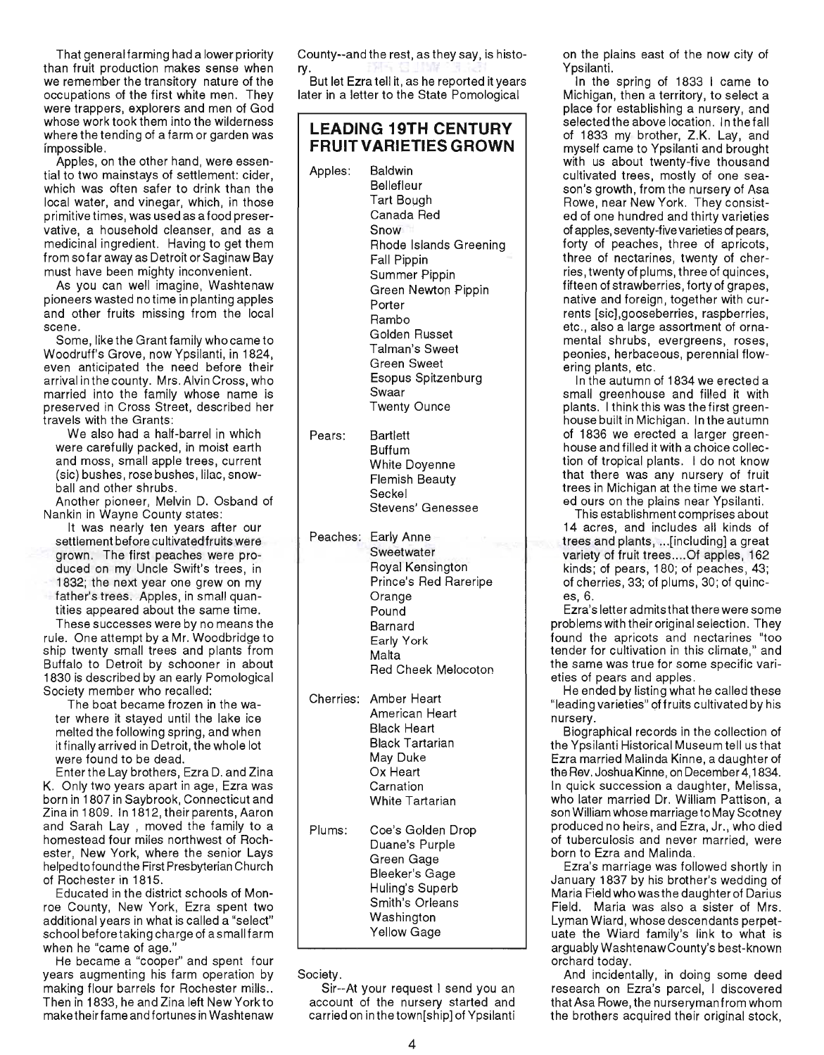That general farming had a lower priority than fruit production makes sense when we remember the transitory nature of the occupations of the first white men. They were trappers, explorers and men of God whose work took them into the wilderness where the tending of a farm or garden was impossible.

Apples, on the other hand, were essential to two mainstays of settlement: cider, which was often safer to drink than the local water, and vinegar, which, in those primitive times, was used as a food preservative, a household cleanser, and as a medicinal ingredient. Having to get them from so far away as Detroit or Saginaw Bay must have been mighty inconvenient.

As you can well imagine, Washtenaw pioneers wasted no time in planting apples and other fruits missing from the local scene.

Some, like the Grant family who came to Woodruff's Grove, now Ypsilanti, in 1824, even anticipated the need before their arrival in the county. Mrs. Alvin Cross, who married into the family whose name is preserved in Cross Street, described her travels with the Grants:

We also had a half-barrel in which were carefully packed, in moist earth and moss, small apple trees, current (sic) bushes, rose bushes, lilac, snowball and other shrubs.

Another pioneer, Melvin D. Osband of Nankin in Wayne County states:

It was nearly ten years after our settlement before cultivated fruits were grown. The first peaches were produced on my Uncle Swift's trees, in 1832; the next year one grew on my father's trees. Apples, in small quantities appeared about the same time.

These successes were by no means the rule. One attempt by a Mr. Woodbridge to ship twenty small trees and plants from Buffalo to Detroit by schooner in about 1830 is described by an early Pomological Society member who recalled:

The boat became frozen in the water where it stayed until the lake ice melted the following spring, and when it finally arrived in Detroit, the whole lot were found to be dead.

Enterthe Lay brothers, Ezra D. and Zina K. Only two years apart in age, Ezra was born in 1807 in Saybrook, Connecticut and Zina in 1809. In 1812, their parents, Aaron and Sarah Lay , moved the family to a homestead four miles northwest of Rochester, New York, where the senior Lays helpedtofoundthe First Presbyterian Church of Rochester in 1815.

Educated in the district schools of Monroe County, New York, Ezra spent two additional years in what is called a "select" school before taking charge of a small farm when he "came of age."

He became a "cooper" and spent four years augmenting his farm operation by making flour barrels for Rochester mills... Then in 1833, he and Zina left New York to make their fame and fortunes in Washtenaw County--and the rest, as they say, is history.

But let Ezra tell it, as he reported it years later in a letter to the State Pomological

| <b>LEADING 19TH CENTURY</b><br><b>FRUIT VARIETIES GROWN</b> |                                                                                                                                                                                                                                                                                     |
|-------------------------------------------------------------|-------------------------------------------------------------------------------------------------------------------------------------------------------------------------------------------------------------------------------------------------------------------------------------|
| Apples:                                                     | Baldwin<br>Bellefleur<br><b>Tart Bough</b><br>Canada Red<br>Snow<br>Rhode Islands Greening<br><b>Fall Pippin</b><br>Summer Pippin<br>Green Newton Pippin<br>Porter<br>Rambo<br>Golden Russet<br>Talman's Sweet<br>Green Sweet<br>Esopus Spitzenburg<br>Swaar<br><b>Twenty Ounce</b> |
| Pears:                                                      | Bartlett<br><b>Buffum</b><br><b>White Doyenne</b><br><b>Flemish Beauty</b><br>Seckel<br>Stevens' Genessee                                                                                                                                                                           |
|                                                             | Peaches: Early Anne<br>Sweetwater<br><b>Royal Kensington</b><br>Prince's Red Rareripe<br>Orange<br>Pound<br>Barnard<br>Early York<br>Malta<br><b>Red Cheek Melocoton</b>                                                                                                            |
| Cherries:                                                   | Amber Heart<br>American Heart<br><b>Black Heart</b><br><b>Black Tartarian</b><br>May Duke<br>Ox Heart<br>Carnation<br><b>White Tartarian</b>                                                                                                                                        |
| Plums:                                                      | Coe's Golden Drop<br>Duane's Purple<br>Green Gage<br>Bleeker's Gage<br>Huling's Superb<br>Smith's Orleans<br>Washington<br><b>Yellow Gage</b>                                                                                                                                       |

Society.

Sir--At your request I send you an account of the nursery started and carried on in the town[ship] of Ypsilanti on the plains east of the now city of Ypsilanti.

In the spring of 1833 I came to Michigan, then a territory, to select a place for establishing a nursery, and selected the above location. In the fall of 1833 my brother, Z.K. Lay, and myself came to Ypsilanti and brought with us about twenty-five thousand cultivated trees, mostly of one season's growth, from the nursery of Asa Rowe, near New York. They consisted of one hundred and thirty varieties of apples, seventy-five varieties of pears, forty of peaches, three of apricots, three of nectarines, twenty of cherries , twenty of plums, three of quinces, fifteen of strawberries , forty of grapes, native and foreign, together with currents [sic],gooseberries, raspberries, etc., also a large assortment of ornamental shrubs, evergreens, roses, peonies, herbaceous, perennial flowering plants, etc.

In the autumn of 1834 we erected a small greenhouse and filled it with plants. I think this was the first greenhouse built in Michigan. In the autumn of 1836 we erected a larger greenhouse and filled it with a choice collection of tropical plants. I do not know that there was any nursery of fruit trees in Michigan at the time we started ours on the plains near Ypsilanti.

This establishment comprises about 14 acres, and includes all kinds of trees and plants, .. . [including] a great variety of fruit trees .... Of apples, 162 kinds; of pears, 180; of peaches, 43; of cherries, 33; of plums, 30; of quinceS,6.

Ezra's letter admits that there were some problems with their original selection . They found the apricots and nectarines "too tender for cultivation in this climate," and the same was true for some specific varieties of pears and apples.

He ended by listing what he called these "leading varieties" of fruits cultivated by his nursery.

Biographical records in the collection of the Ypsilanti Historical Museum tell us that Ezra married Malinda Kinne, a daughter of the Rev. JoshuaKinne, on December4,1834. In quick succession a daughter, Melissa, who later married Dr. William Pattison, a son William whose marriage to May Scotney produced no heirs, and Ezra, Jr., who died of tuberculosis and never married, were born to Ezra and Malinda.

Ezra's marriage was followed shortly in January 1837 by his brother's wedding of Maria Field who was the daughter of Darius Field. Maria was also a sister of Mrs. Lyman Wiard, whose descendants perpetuate the Wiard family's link to what is arguably WashtenawCounty's best-known orchard today.

And incidentally, in doing some deed research on Ezra's parcel, I discovered that Asa Rowe, the nurseryman from whom the brothers acquired their original stock,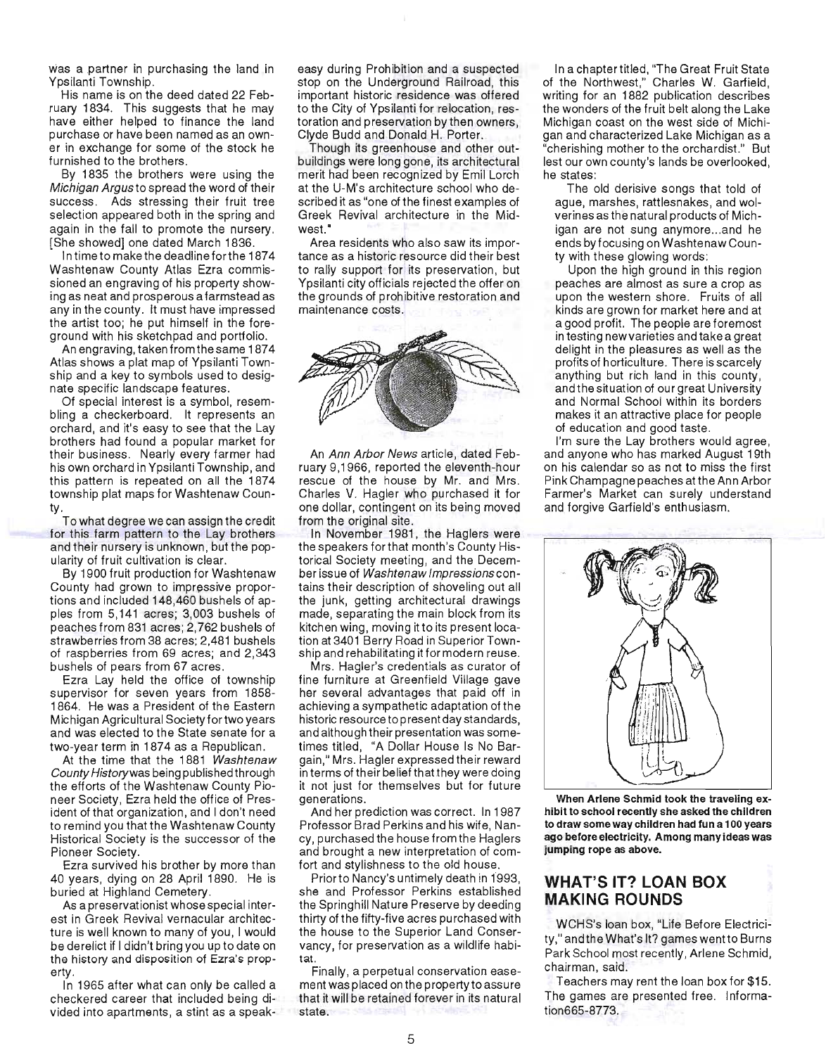was a partner in purchasing the land in Ypsilanti Township.

His name is on the deed dated 22 February 1834. This suggests that he may have either helped to finance the land purchase or have been named as an owner in exchange for some of the stock he furnished to the brothers.

By 1835 the brothers were using the Michigan Argus to spread the word of their success. Ads stressing their fruit tree selection appeared both in the spring and again in the fall to promote the nursery. [She showed] one dated March 1836.

In time to make the deadline for the 1874 Washtenaw County Atlas Ezra commissioned an engraving of his property showing as neat and prosperous a farmstead as any in the county. It must have impressed the artist too; he put himself in the foreground with his sketchpad and portfolio.

An engraving, taken from the same 1874 Atlas shows a plat map of Ypsilanti Township and a key to symbols used to designate specific landscape features .

Of special interest is a symbol, resembling a checkerboard. It represents an orchard, and it's easy to see that the Lay brothers had found a popular market for their business. Nearly every farmer had his own orchard in Ypsilanti Township, and this pattern is repeated on all the 1874 township plat maps for Washtenaw County.

To what degree we can assign the credit for this farm pattern to the Lay brothers and their nursery is unknown, but the popularity of fruit cultivation is clear.

By 1900 fruit production for Washtenaw County had grown to impressive proportions and included 148,460 bushels of apples from 5,141 acres; 3,003 bushels of peaches from 831 acres; 2,762 bushels of strawberries from 38 acres; 2,481 bushels of raspberries from 69 acres; and 2,343 bushels of pears from 67 acres.

Ezra Lay held the office of township supervisor for seven years from 1858- 1864. He was a President of the Eastern Michigan Agricultural Society for two years and was elected to the State senate for a two-year term in 1874 as a Republican.

At the time that the 1881 Washtenaw County Historywas being publishedthrough the efforts of the Washtenaw County Pioneer Society, Ezra held the office of President of that organization, and I don't need to remind you that the Washtenaw County Historical Society is the successor of the Pioneer Society.

Ezra survived his brother by more than 40 years, dying on 28 April 1890. He is buried at Highland Cemetery.

As a preservationist whose special interest in Greek Revival vernacular architecture is well known to many of you, I would be derelict if I didn't bring you up to date on the history and disposition of Ezra's property.

In 1965 after what can only be called a checkered career that included being divided into apartments, a stint as a speak-

easy during Prohibition and a suspected stop on the Underground Railroad, this important historic residence was offered to the City of Ypsilanti for relocation, restoration and preservation by then owners, Clyde Budd and Donald H. Porter.

Though its greenhouse and other outbuildings were long gone, its architectural merit had been recognized by Emil Lorch at the U-M's architecture school who described it as "one of the finest examples of Greek Revival architecture in the Midwest."

Area residents who also saw its importance as a historic resource did their best to rally support for its preservation, but Ypsilanti city officials rejected the offer on the grounds of prohibitive restoration and maintenance costs .



An Ann Arbor News article, dated February 9,1966, reported the eleventh-hour rescue of the house by Mr. and Mrs. Charles V. Hagler who purchased it for one dollar, contingent on its being moved from the original site.

In November 1981, the Haglers were the speakers for that month's County Historical Society meeting, and the December issue of Washtenaw Impressions contains their description of shoveling out all the junk, getting architectural drawings made, separating the main block from its kitchen wing, moving it to its present location at 3401 Berry Road in Superior Township and rehabilitating it for modern reuse.

Mrs. Hagler's credentials as curator of fine furniture at Greenfield Village gave her several advantages that paid off in achieving a sympathetic adaptation of the historic resource to present day standards, and although their presentation was sometimes titled, "A Dollar House Is No Bargain," Mrs. Hagler expressed their reward in terms of their belief that they were doing it not just for themselves but for future generations.

And her prediction was correct. In 1987 Professor Brad Perkins and his wife, Nancy, purchased the house from the Haglers and brought a new interpretation of comfort and stylishness to the old house.

Priorto Nancy's untimely death in 1993, she and Professor Perkins established the Springhill Nature Preserve by deeding thirty of the fifty-five acres purchased with the house to the Superior Land Conservancy, for preservation as a wildlife habitat.

Finally, a perpetual conservation easement was placed on the property to assure that it will be retained forever in its natural state.

In a chapter titled, "The Great Fruit State of the Northwest," Charles W. Garfield, writing for an 1882 publication describes the wonders of the fruit belt along the Lake Michigan coast on the west side of Michigan and characterized Lake Michigan as a "cherishing mother to the orchardist." But lest our own county's lands be overlooked, he states:

The old derisive songs that told of ague, marshes, rattlesnakes, and wolverines as the natural products of Michigan are not sung anymore... and he ends by focusing on Washtenaw County with these glowing words:

Upon the high ground in this region peaches are almost as sure a crop as upon the western shore. Fruits of all kinds are grown for market here and at a good profit. The people are foremost in testing new varieties and take a great delight in the pleasures as well as the profits of horticulture. There is scarcely anything but rich land in this county, and the situation of our great University and Normal School within its borders makes it an attractive place for people of education and good taste.

I'm sure the Lay brothers would agree, and anyone who has marked August 19th on his calendar so as not to miss the first Pink Champagne peaches at the Ann Arbor Farmer's Market can surely understand and forgive Garfield's enthusiasm.



When Arlene Schmid took the traveling exhibit to school recently she asked the children to draw some way children had fun a 100 years ago before electricity. Among many ideas was jumping rope as above.

#### **WHAT'S IT? LOAN BOX MAKING ROUNDS**

WCHS's loan box, "Life Before Electricity ," and the What's It? games went to Burns Park School most recently, Arlene Schmid, chairman, said.

Teachers may rent the loan box for \$15. The games are presented free. Information665-8773.